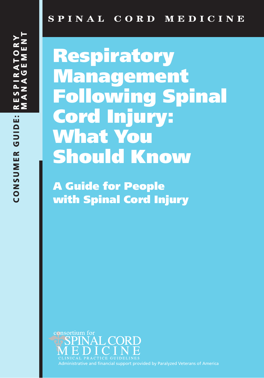# **Respiratory Management Following Spinal Cord Injury: What You Should Know**

**A Guide for People with Spinal Cord Injury** 



Administrative and financial support provided by Paralyzed Veterans of America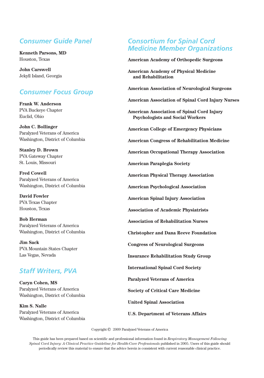## *Consumer Guide Panel*

**Kenneth Parsons, MD** Houston, Texas

**John Carswell** Jekyll Island, Georgia

## *Consumer Focus Group*

**Frank W. Anderson** PVA Buckeye Chapter Euclid, Ohio

**John C. Bollinger** Paralyzed Veterans of America Washington, District of Columbia

**Stanley D. Brown** PVA Gateway Chapter St. Louis, Missouri

**Fred Cowell** Paralyzed Veterans of America Washington, District of Columbia

**David Fowler** PVA Texas Chapter Houston, Texas

**Bob Herman** Paralyzed Veterans of America Washington, District of Columbia

**Jim Sack**  PVA Mountain States Chapter Las Vegas, Nevada

# *Staff Writers, PVA*

**Caryn Cohen, MS** Paralyzed Veterans of America Washington, District of Columbia

**Kim S. Nalle** Paralyzed Veterans of America Washington, District of Columbia

## *Consortium for Spinal Cord Medicine Member Organizations*

**American Academy of Orthopedic Surgeons**

**American Academy of Physical Medicine and Rehabilitation**

**American Association of Neurological Surgeons**

**American Association of Spinal Cord Injury Nurses**

**American Association of Spinal Cord Injury Psychologists and Social Workers**

**American College of Emergency Physicians**

**American Congress of Rehabilitation Medicine**

**American Occupational Therapy Association**

**American Paraplegia Society**

**American Physical Therapy Association**

**American Psychological Association**

**American Spinal Injury Association**

**Association of Academic Physiatrists**

**Association of Rehabilitation Nurses**

**Christopher and Dana Reeve Foundation**

**Congress of Neurological Surgeons**

**Insurance Rehabilitation Study Group**

**International Spinal Cord Society**

**Paralyzed Veterans of America**

**Society of Critical Care Medicine**

**United Spinal Association**

**U.S. Department of Veterans Affairs**

Copyright  $\odot$  2009 Paralyzed Veterans of America

This guide has been prepared based on scientific and professional information found in *Respiratory Management Following Spinal Cord Injury: A Clinical Practice Guideline for Health-Care Professionals* published in 2005. Users of this guide should periodically review this material to ensure that the advice herein is consistent with current reasonable clinical practice.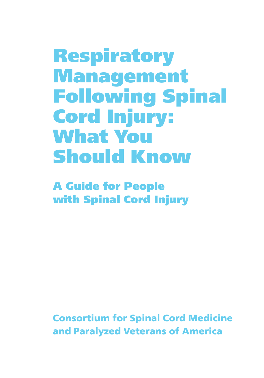**Respiratory Management Following Spinal Cord Injury: What You Should Know**

**A Guide for People with Spinal Cord Injury**

**Consortium for Spinal Cord Medicine and Paralyzed Veterans of America**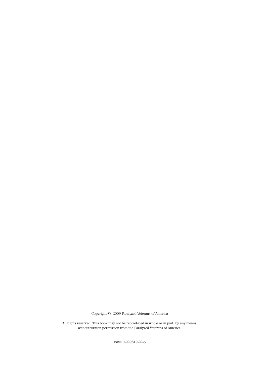Copyright  $\odot$  2009 Paralyzed Veterans of America

All rights reserved. This book may not be reproduced in whole or in part, by any means, without written permission from the Paralyzed Veterans of America.

ISBN 0-929819-22-5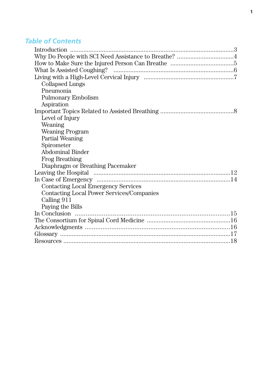# *Table of Contents*

| <b>Collapsed Lungs</b>                           |
|--------------------------------------------------|
| Pneumonia                                        |
| <b>Pulmonary Embolism</b>                        |
| Aspiration                                       |
|                                                  |
| Level of Injury                                  |
| Weaning                                          |
| <b>Weaning Program</b>                           |
| Partial Weaning                                  |
| Spirometer                                       |
| <b>Abdominal Binder</b>                          |
| <b>Frog Breathing</b>                            |
| Diaphragm or Breathing Pacemaker                 |
|                                                  |
|                                                  |
| <b>Contacting Local Emergency Services</b>       |
| <b>Contacting Local Power Services/Companies</b> |
| Calling 911                                      |
| Paying the Bills                                 |
|                                                  |
|                                                  |
|                                                  |
|                                                  |
|                                                  |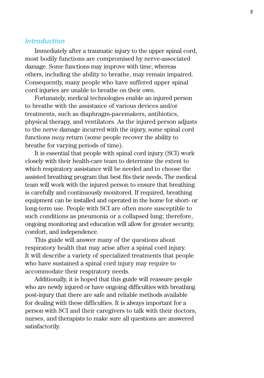## *Introduction*

Immediately after a traumatic injury to the upper spinal cord, most bodily functions are compromised by nerve-associated damage. Some functions may improve with time, whereas others, including the ability to breathe, may remain impaired. Consequently, many people who have suffered upper spinal cord injuries are unable to breathe on their own.

Fortunately, medical technologies enable an injured person to breathe with the assistance of various devices and/or treatments, such as diaphragm-pacemakers, antibiotics, physical therapy, and ventilators. As the injured person adjusts to the nerve damage incurred with the injury, some spinal cord functions *may* return (some people recover the ability to breathe for varying periods of time).

It is essential that people with spinal cord injury (SCI) work closely with their health-care team to determine the extent to which respiratory assistance will be needed and to choose the assisted breathing program that best fits their needs. The medical team will work with the injured person to ensure that breathing is carefully and continuously monitored. If required, breathing equipment can be installed and operated in the home for short- or long-term use. People with SCI are often more susceptible to such conditions as pneumonia or a collapsed lung; therefore, ongoing monitoring and education will allow for greater security, comfort, and independence.

This guide will answer many of the questions about respiratory health that may arise after a spinal cord injury. It will describe a variety of specialized treatments that people who have sustained a spinal cord injury may require to accommodate their respiratory needs.

Additionally, it is hoped that this guide will reassure people who are newly injured or have ongoing difficulties with breathing post-injury that there are safe and reliable methods available for dealing with these difficulties. It is always important for a person with SCI and their caregivers to talk with their doctors, nurses, and therapists to make sure all questions are answered satisfactorily.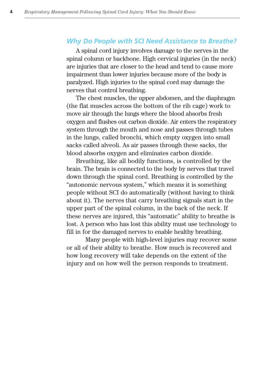## *Why Do People with SCI Need Assistance to Breathe?*

A spinal cord injury involves damage to the nerves in the spinal column or backbone. High cervical injuries (in the neck) are injuries that are closer to the head and tend to cause more impairment than lower injuries because more of the body is paralyzed. High injuries to the spinal cord may damage the nerves that control breathing.

The chest muscles, the upper abdomen, and the diaphragm (the flat muscles across the bottom of the rib cage) work to move air through the lungs where the blood absorbs fresh oxygen and flushes out carbon dioxide. Air enters the respiratory system through the mouth and nose and passes through tubes in the lungs, called bronchi, which empty oxygen into small sacks called alveoli. As air passes through these sacks, the blood absorbs oxygen and eliminates carbon dioxide.

Breathing, like all bodily functions, is controlled by the brain. The brain is connected to the body by nerves that travel down through the spinal cord. Breathing is controlled by the "autonomic nervous system," which means it is something people without SCI do automatically (without having to think about it). The nerves that carry breathing signals start in the upper part of the spinal column, in the back of the neck. If these nerves are injured, this "automatic" ability to breathe is lost. A person who has lost this ability must use technology to fill in for the damaged nerves to enable healthy breathing.

Many people with high-level injuries may recover some or all of their ability to breathe. How much is recovered and how long recovery will take depends on the extent of the injury and on how well the person responds to treatment.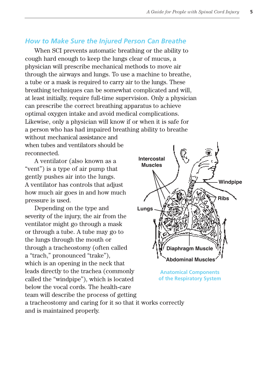## *How to Make Sure the Injured Person Can Breathe*

When SCI prevents automatic breathing or the ability to cough hard enough to keep the lungs clear of mucus, a physician will prescribe mechanical methods to move air through the airways and lungs. To use a machine to breathe, a tube or a mask is required to carry air to the lungs. These breathing techniques can be somewhat complicated and will, at least initially, require full-time supervision. Only a physician can prescribe the correct breathing apparatus to achieve optimal oxygen intake and avoid medical complications. Likewise, only a physician will know if or when it is safe for a person who has had impaired breathing ability to breathe

without mechanical assistance and when tubes and ventilators should be reconnected.

A ventilator (also known as a "vent") is a type of air pump that gently pushes air into the lungs. A ventilator has controls that adjust how much air goes in and how much pressure is used.

Depending on the type and severity of the injury, the air from the ventilator might go through a mask or through a tube. A tube may go to the lungs through the mouth or through a tracheostomy (often called a "trach," pronounced "trake"), which is an opening in the neck that leads directly to the trachea (commonly called the "windpipe"), which is located below the vocal cords. The health-care team will describe the process of getting a tracheostomy and caring for it so that it works correctly and is maintained properly. **Lungs**



**Anatomical Components of the Respiratory System**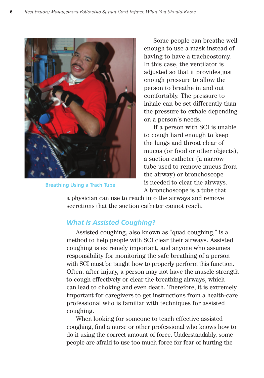

**Breathing Using a Trach Tube**

Some people can breathe well enough to use a mask instead of having to have a tracheostomy. In this case, the ventilator is adjusted so that it provides just enough pressure to allow the person to breathe in and out comfortably. The pressure to inhale can be set differently than the pressure to exhale depending on a person's needs.

If a person with SCI is unable to cough hard enough to keep the lungs and throat clear of mucus (or food or other objects), a suction catheter (a narrow tube used to remove mucus from the airway) or bronchoscope is needed to clear the airways.

A bronchoscope is a tube that

a physician can use to reach into the airways and remove secretions that the suction catheter cannot reach.

## *What Is Assisted Coughing?*

Assisted coughing, also known as "quad coughing," is a method to help people with SCI clear their airways. Assisted coughing is extremely important, and anyone who assumes responsibility for monitoring the safe breathing of a person with SCI must be taught how to properly perform this function. Often, after injury, a person may not have the muscle strength to cough effectively or clear the breathing airways, which can lead to choking and even death. Therefore, it is extremely important for caregivers to get instructions from a health-care professional who is familiar with techniques for assisted coughing.

When looking for someone to teach effective assisted coughing, find a nurse or other professional who knows how to do it using the correct amount of force. Understandably, some people are afraid to use too much force for fear of hurting the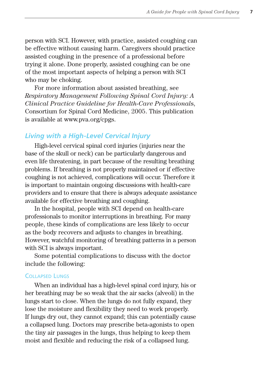person with SCI. However, with practice, assisted coughing can be effective without causing harm. Caregivers should practice assisted coughing in the presence of a professional before trying it alone. Done properly, assisted coughing can be one of the most important aspects of helping a person with SCI who may be choking.

For more information about assisted breathing, see *Respiratory Management Following Spinal Cord Injury: A Clinical Practice Guideline for Health-Care Professional*s, Consortium for Spinal Cord Medicine, 2005. This publication is available at www.pva.org/cpgs.

## *Living with a High-Level Cervical Injury*

High-level cervical spinal cord injuries (injuries near the base of the skull or neck) can be particularly dangerous and even life threatening, in part because of the resulting breathing problems. If breathing is not properly maintained or if effective coughing is not achieved, complications will occur. Therefore it is important to maintain ongoing discussions with health-care providers and to ensure that there is always adequate assistance available for effective breathing and coughing.

In the hospital, people with SCI depend on health-care professionals to monitor interruptions in breathing. For many people, these kinds of complications are less likely to occur as the body recovers and adjusts to changes in breathing. However, watchful monitoring of breathing patterns in a person with SCI is always important.

Some potential complications to discuss with the doctor include the following:

#### COLLAPSED LUNGS

When an individual has a high-level spinal cord injury, his or her breathing may be so weak that the air sacks (alveoli) in the lungs start to close. When the lungs do not fully expand, they lose the moisture and flexibility they need to work properly. If lungs dry out, they cannot expand; this can potentially cause a collapsed lung. Doctors may prescribe beta-agonists to open the tiny air passages in the lungs, thus helping to keep them moist and flexible and reducing the risk of a collapsed lung.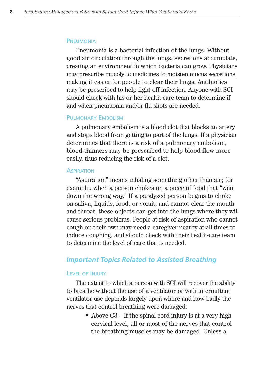#### **PNEUMONIA**

Pneumonia is a bacterial infection of the lungs. Without good air circulation through the lungs, secretions accumulate, creating an environment in which bacteria can grow. Physicians may prescribe mucolytic medicines to moisten mucus secretions, making it easier for people to clear their lungs. Antibiotics may be prescribed to help fight off infection. Anyone with SCI should check with his or her health-care team to determine if and when pneumonia and/or flu shots are needed.

#### PULMONARY EMBOLISM

A pulmonary embolism is a blood clot that blocks an artery and stops blood from getting to part of the lungs. If a physician determines that there is a risk of a pulmonary embolism, blood-thinners may be prescribed to help blood flow more easily, thus reducing the risk of a clot.

#### **ASPIRATION**

"Aspiration" means inhaling something other than air; for example, when a person chokes on a piece of food that "went down the wrong way." If a paralyzed person begins to choke on saliva, liquids, food, or vomit, and cannot clear the mouth and throat, these objects can get into the lungs where they will cause serious problems. People at risk of aspiration who cannot cough on their own may need a caregiver nearby at all times to induce coughing, and should check with their health-care team to determine the level of care that is needed.

#### *Important Topics Related to Assisted Breathing*

#### LEVEL OF INJURY

The extent to which a person with SCI will recover the ability to breathe without the use of a ventilator or with intermittent ventilator use depends largely upon where and how badly the nerves that control breathing were damaged:

> • Above C<sub>3</sub> – If the spinal cord injury is at a very high cervical level, all or most of the nerves that control the breathing muscles may be damaged. Unless a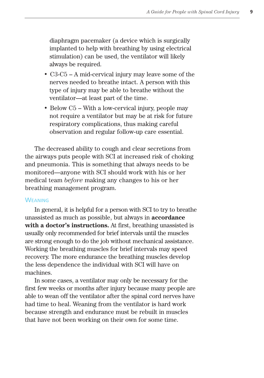diaphragm pacemaker (a device which is surgically implanted to help with breathing by using electrical stimulation) can be used, the ventilator will likely always be required.

- C3-C5 A mid-cervical injury may leave some of the nerves needed to breathe intact. A person with this type of injury may be able to breathe without the ventilator—at least part of the time.
- Below C5 With a low-cervical injury, people may not require a ventilator but may be at risk for future respiratory complications, thus making careful observation and regular follow-up care essential.

The decreased ability to cough and clear secretions from the airways puts people with SCI at increased risk of choking and pneumonia. This is something that always needs to be monitored—anyone with SCI should work with his or her medical team *before* making any changes to his or her breathing management program.

#### **WEANING**

In general, it is helpful for a person with SCI to try to breathe unassisted as much as possible, but always in **accordance with a doctor's instructions.** At first, breathing unassisted is usually only recommended for brief intervals until the muscles are strong enough to do the job without mechanical assistance. Working the breathing muscles for brief intervals may speed recovery. The more endurance the breathing muscles develop the less dependence the individual with SCI will have on machines.

In some cases, a ventilator may only be necessary for the first few weeks or months after injury because many people are able to wean off the ventilator after the spinal cord nerves have had time to heal. Weaning from the ventilator is hard work because strength and endurance must be rebuilt in muscles that have not been working on their own for some time.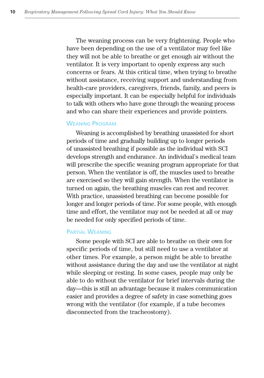The weaning process can be very frightening. People who have been depending on the use of a ventilator may feel like they will not be able to breathe or get enough air without the ventilator. It is very important to openly express any such concerns or fears. At this critical time, when trying to breathe without assistance, receiving support and understanding from health-care providers, caregivers, friends, family, and peers is especially important. It can be especially helpful for individuals to talk with others who have gone through the weaning process and who can share their experiences and provide pointers.

#### WEANING PROGRAM

Weaning is accomplished by breathing unassisted for short periods of time and gradually building up to longer periods of unassisted breathing if possible as the individual with SCI develops strength and endurance. An individual's medical team will prescribe the specific weaning program appropriate for that person. When the ventilator is off, the muscles used to breathe are exercised so they will gain strength. When the ventilator is turned on again, the breathing muscles can rest and recover. With practice, unassisted breathing can become possible for longer and longer periods of time. For some people, with enough time and effort, the ventilator may not be needed at all or may be needed for only specified periods of time.

#### PARTIAL WEANING

Some people with SCI are able to breathe on their own for specific periods of time, but still need to use a ventilator at other times. For example, a person might be able to breathe without assistance during the day and use the ventilator at night while sleeping or resting. In some cases, people may only be able to do without the ventilator for brief intervals during the day—this is still an advantage because it makes communication easier and provides a degree of safety in case something goes wrong with the ventilator (for example, if a tube becomes disconnected from the tracheostomy).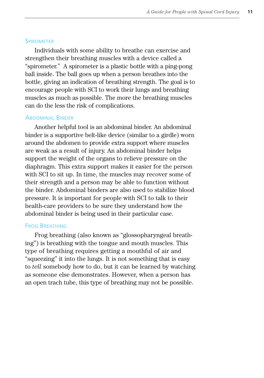#### **SPIROMETER**

Individuals with some ability to breathe can exercise and strengthen their breathing muscles with a device called a "spirometer." A spirometer is a plastic bottle with a ping-pong ball inside. The ball goes up when a person breathes into the bottle, giving an indication of breathing strength. The goal is to encourage people with SCI to work their lungs and breathing muscles as much as possible. The more the breathing muscles can do the less the risk of complications.

#### **ABDOMINAL BINDER**

Another helpful tool is an abdominal binder. An abdominal binder is a supportive belt-like device (similar to a girdle) worn around the abdomen to provide extra support where muscles are weak as a result of injury. An abdominal binder helps support the weight of the organs to relieve pressure on the diaphragm. This extra support makes it easier for the person with SCI to sit up. In time, the muscles may recover some of their strength and a person may be able to function without the binder. Abdominal binders are also used to stabilize blood pressure. It is important for people with SCI to talk to their health-care providers to be sure they understand how the abdominal binder is being used in their particular case.

#### FROG BREATHING

Frog breathing (also known as "glossopharyngeal breathing") is breathing with the tongue and mouth muscles. This type of breathing requires getting a mouthful of air and "squeezing" it into the lungs. It is not something that is easy to *tell* somebody how to do, but it can be learned by watching as someone else demonstrates. However, when a person has an open trach tube, this type of breathing may not be possible.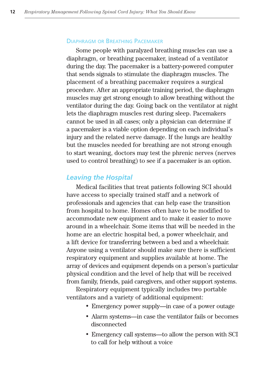#### DIAPHRAGM OR BREATHING PACEMAKER

Some people with paralyzed breathing muscles can use a diaphragm, or breathing pacemaker, instead of a ventilator during the day. The pacemaker is a battery-powered computer that sends signals to stimulate the diaphragm muscles. The placement of a breathing pacemaker requires a surgical procedure. After an appropriate training period, the diaphragm muscles may get strong enough to allow breathing without the ventilator during the day. Going back on the ventilator at night lets the diaphragm muscles rest during sleep. Pacemakers cannot be used in all cases; only a physician can determine if a pacemaker is a viable option depending on each individual's injury and the related nerve damage. If the lungs are healthy but the muscles needed for breathing are not strong enough to start weaning, doctors may test the phrenic nerves (nerves used to control breathing) to see if a pacemaker is an option.

## *Leaving the Hospital*

Medical facilities that treat patients following SCI should have access to specially trained staff and a network of professionals and agencies that can help ease the transition from hospital to home. Homes often have to be modified to accommodate new equipment and to make it easier to move around in a wheelchair. Some items that will be needed in the home are an electric hospital bed, a power wheelchair, and a lift device for transferring between a bed and a wheelchair. Anyone using a ventilator should make sure there is sufficient respiratory equipment and supplies available at home. The array of devices and equipment depends on a person's particular physical condition and the level of help that will be received from family, friends, paid caregivers, and other support systems.

Respiratory equipment typically includes two portable ventilators and a variety of additional equipment:

- Emergency power supply—in case of a power outage
- Alarm systems—in case the ventilator fails or becomes disconnected
- Emergency call systems—to allow the person with SCI to call for help without a voice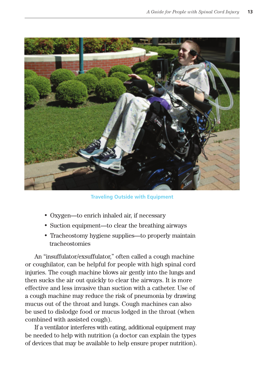

**Traveling Outside with Equipment**

- Oxygen—to enrich inhaled air, if necessary
- Suction equipment—to clear the breathing airways
- Tracheostomy hygiene supplies—to properly maintain tracheostomies

An "insuffulator/exsuffulator," often called a cough machine or coughilator, can be helpful for people with high spinal cord injuries. The cough machine blows air gently into the lungs and then sucks the air out quickly to clear the airways. It is more effective and less invasive than suction with a catheter. Use of a cough machine may reduce the risk of pneumonia by drawing mucus out of the throat and lungs. Cough machines can also be used to dislodge food or mucus lodged in the throat (when combined with assisted cough).

If a ventilator interferes with eating, additional equipment may be needed to help with nutrition (a doctor can explain the types of devices that may be available to help ensure proper nutrition).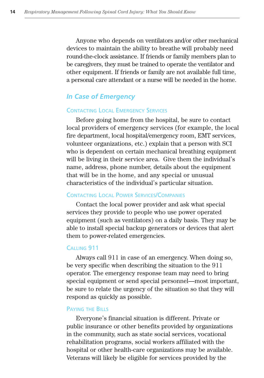Anyone who depends on ventilators and/or other mechanical devices to maintain the ability to breathe will probably need round-the-clock assistance. If friends or family members plan to be caregivers, they must be trained to operate the ventilator and other equipment. If friends or family are not available full time, a personal care attendant or a nurse will be needed in the home.

## *In Case of Emergency*

#### CONTACTING LOCAL EMERGENCY SERVICES

Before going home from the hospital, be sure to contact local providers of emergency services (for example, the local fire department, local hospital/emergency room, EMT services, volunteer organizations, etc.) explain that a person with SCI who is dependent on certain mechanical breathing equipment will be living in their service area. Give them the individual's name, address, phone number, details about the equipment that will be in the home, and any special or unusual characteristics of the individual's particular situation.

#### CONTACTING LOCAL POWER SERVICES/COMPANIES

Contact the local power provider and ask what special services they provide to people who use power operated equipment (such as ventilators) on a daily basis. They may be able to install special backup generators or devices that alert them to power-related emergencies.

#### CALLING 911

Always call 911 in case of an emergency. When doing so, be very specific when describing the situation to the 911 operator. The emergency response team may need to bring special equipment or send special personnel—most important, be sure to relate the urgency of the situation so that they will respond as quickly as possible.

#### PAYING THE BILLS

Everyone's financial situation is different. Private or public insurance or other benefits provided by organizations in the community, such as state social services, vocational rehabilitation programs, social workers affiliated with the hospital or other health-care organizations may be available. Veterans will likely be eligible for services provided by the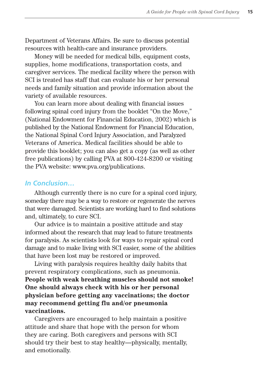Department of Veterans Affairs. Be sure to discuss potential resources with health-care and insurance providers.

Money will be needed for medical bills, equipment costs, supplies, home modifications, transportation costs, and caregiver services. The medical facility where the person with SCI is treated has staff that can evaluate his or her personal needs and family situation and provide information about the variety of available resources.

You can learn more about dealing with financial issues following spinal cord injury from the booklet "On the Move," (National Endowment for Financial Education, 2002) which is published by the National Endowment for Financial Education, the National Spinal Cord Injury Association, and Paralyzed Veterans of America. Medical facilities should be able to provide this booklet; you can also get a copy (as well as other free publications) by calling PVA at 800-424-8200 or visiting the PVA website: www.pva.org/publications.

## *In Conclusion…*

Although currently there is no cure for a spinal cord injury, someday there may be a way to restore or regenerate the nerves that were damaged. Scientists are working hard to find solutions and, ultimately, to cure SCI.

Our advice is to maintain a positive attitude and stay informed about the research that may lead to future treatments for paralysis. As scientists look for ways to repair spinal cord damage and to make living with SCI easier, some of the abilities that have been lost may be restored or improved.

Living with paralysis requires healthy daily habits that prevent respiratory complications, such as pneumonia. **People with weak breathing muscles should not smoke! One should always check with his or her personal physician before getting any vaccinations; the doctor may recommend getting flu and/or pneumonia vaccinations.**

Caregivers are encouraged to help maintain a positive attitude and share that hope with the person for whom they are caring. Both caregivers and persons with SCI should try their best to stay healthy—physically, mentally, and emotionally.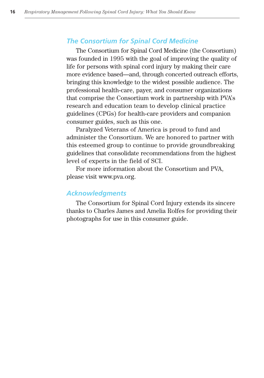## *The Consortium for Spinal Cord Medicine*

The Consortium for Spinal Cord Medicine (the Consortium) was founded in 1995 with the goal of improving the quality of life for persons with spinal cord injury by making their care more evidence based—and, through concerted outreach efforts, bringing this knowledge to the widest possible audience. The professional health-care, payer, and consumer organizations that comprise the Consortium work in partnership with PVA's research and education team to develop clinical practice guidelines (CPGs) for health-care providers and companion consumer guides, such as this one.

Paralyzed Veterans of America is proud to fund and administer the Consortium. We are honored to partner with this esteemed group to continue to provide groundbreaking guidelines that consolidate recommendations from the highest level of experts in the field of SCI.

For more information about the Consortium and PVA, please visit www.pva.org.

## *Acknowledgments*

The Consortium for Spinal Cord Injury extends its sincere thanks to Charles James and Amelia Rolfes for providing their photographs for use in this consumer guide.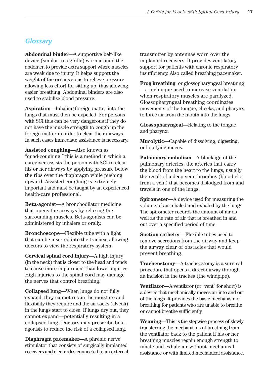## *Glossary*

**Abdominal binder—**A supportive belt-like device (similar to a girdle) worn around the abdomen to provide extra support where muscles are weak due to injury. It helps support the weight of the organs so as to relieve pressure, allowing less effort for sitting up, thus allowing easier breathing. Abdominal binders are also used to stabilize blood pressure.

**Aspiration—**Inhaling foreign matter into the lungs that must then be expelled. For persons with SCI this can be very dangerous if they do not have the muscle strength to cough up the foreign matter in order to clear their airways. In such cases immediate assistance is necessary.

**Assisted coughing—**Also known as "quad-coughing," this is a method in which a caregiver assists the person with SCI to clear his or her airways by applying pressure below the ribs over the diaphragm while pushing upward. Assisted coughing is extremely important and must be taught by an experienced health-care professional.

**Beta-agonist—**A bronchodilator medicine that opens the airways by relaxing the surrounding muscles. Beta-agonists can be administered by inhalers or orally.

**Bronchoscope—**Flexible tube with a light that can be inserted into the trachea, allowing doctors to view the respiratory system.

**Cervical spinal cord injury—**A high injury (in the neck) that is closer to the head and tends to cause more impairment than lower injuries. High injuries to the spinal cord may damage the nerves that control breathing.

**Collapsed lung—**When lungs do not fully expand, they cannot retain the moisture and flexibility they require and the air sacks (alveoli) in the lungs start to close. If lungs dry out, they cannot expand—potentially resulting in a collapsed lung. Doctors may prescribe betaagonists to reduce the risk of a collapsed lung.

**Diaphragm pacemaker—**A phrenic nerve stimulator that consists of surgically implanted receivers and electrodes connected to an external transmitter by antennas worn over the implanted receivers. It provides ventilatory support for patients with chronic respiratory insufficiency. Also called breathing pacemaker.

**Frog breathing**, or glossopharyngeal breathing —a technique used to increase ventilation when respiratory muscles are paralyzed. Glossopharyngeal breathing coordinates movements of the tongue, cheeks, and pharynx to force air from the mouth into the lungs.

**Glossopharyngeal—**Relating to the tongue and pharynx.

**Mucolytic—**Capable of dissolving, digesting, or liquifying mucus.

**Pulmonary embolism—**A blockage of the pulmonary arteries, the arteries that carry the blood from the heart to the lungs, usually the result of a deep vein thrombus (blood clot from a vein) that becomes dislodged from and travels in one of the lungs.

**Spirometer—**A device used for measuring the volume of air inhaled and exhaled by the lungs. The spirometer records the amount of air as well as the rate of air that is breathed in and out over a specified period of time.

**Suction catheter—**Flexible tubes used to remove secretions from the airway and keep the airway clear of obstacles that would prevent breathing.

**Tracheostomy—**A tracheostomy is a surgical procedure that opens a direct airway through an incision in the trachea (the windpipe).

**Ventilator—**A ventilator (or "vent" for short) is a device that mechanically moves air into and out of the lungs. It provides the basic mechanism of breathing for patients who are unable to breathe or cannot breathe sufficiently.

**Weaning—**This is the stepwise process of slowly transferring the mechanisms of breathing from the ventilator back to the patient if his or her breathing muscles regain enough strength to inhale and exhale air without mechanical assistance or with limited mechanical assistance.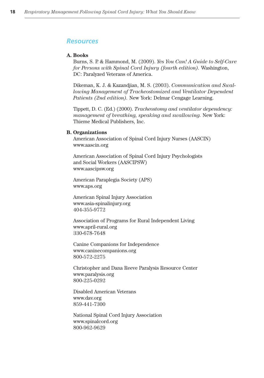#### *Resources*

#### **A. Books**

Burns, S. P. & Hammond, M. (2009). *Yes You Can! A Guide to Self-Care for Persons with Spinal Cord Injury (fourth edition).* Washington, DC: Paralyzed Veterans of America.

Dikeman, K. J. & Kazandjian, M. S. (2003). *Communication and Swallowing Management of Tracheostomized and Ventilator Dependent Patients (2nd edition).* New York: Delmar Cengage Learning.

Tippett, D. C. (Ed.) (2000). *Tracheostomy and ventilator dependency: management of breathing, speaking and swallowing.* New York: Thieme Medical Publishers, Inc.

#### **B. Organizations**

American Association of Spinal Cord Injury Nurses (AASCIN) www.aascin.org

American Association of Spinal Cord Injury Psychologists and Social Workers (AASCIPSW) www.aascipsw.org

American Paraplegia Society (APS) www.aps.org

American Spinal Injury Association www.asia-spinalinjury.org 404-355-9772

Association of Programs for Rural Independent Living www.april-rural.org 330-678-7648

Canine Companions for Independence www.caninecompanions.org 800-572-2275

Christopher and Dana Reeve Paralysis Resource Center www.paralysis.org 800-225-0292

Disabled American Veterans www.dav.org 859-441-7300

National Spinal Cord Injury Association www.spinalcord.org 800-962-9629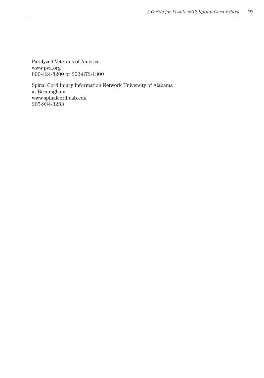Paralyzed Veterans of America www.pva.org 800-424-8200 or 202-872-1300

Spinal Cord Injury Information Network University of Alabama at Birmingham www.spinalcord.uab.edu 205-934-3283